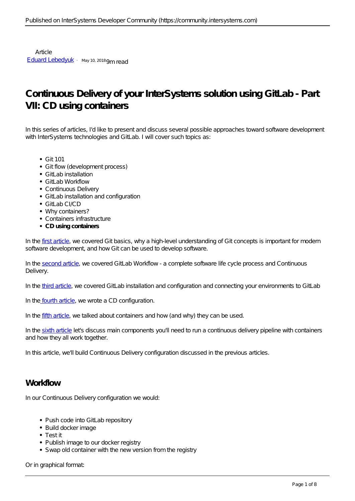Article [Eduard Lebedyuk](https://community.intersystems.com/user/eduard-lebedyuk) · May 10, 2018 9m read

# **Continuous Delivery of your InterSystems solution using GitLab - Part VII: CD using containers**

In this series of articles, I'd like to present and discuss several possible approaches toward software development with InterSystems technologies and GitLab. I will cover such topics as:

- $\bullet$  Git 101
- Git flow (development process)
- $\bullet$  Gitl ab installation
- $\bullet$  Gitl ab Workflow
- Continuous Delivery
- GitLab installation and configuration
- $\bullet$  Gitt ab CI/CD
- Why containers?
- Containers infrastructure
- **CD using containers**

In the [first article,](https://community.intersystems.com/post/continuous-delivery-your-intersystems-solution-using-gitlab-part-i-git) we covered Git basics, why a high-level understanding of Git concepts is important for modern software development, and how Git can be used to develop software.

In the [second article](https://community.intersystems.com/post/continuous-delivery-your-intersystems-solution-using-gitlab-part-ii-gitlab-workflow), we covered GitLab Workflow - a complete software life cycle process and Continuous Delivery.

In the [third article](https://community.intersystems.com/post/continuous-delivery-your-intersystems-solution-using-gitlab-part-iii-gitlab-installation-and), we covered GitLab installation and configuration and connecting your environments to GitLab

In the [fourth article](https://community.intersystems.com/post/continuous-delivery-your-intersystems-solution-using-gitlab-part-iv-cd-configuration), we wrote a CD configuration.

In the [fifth article,](https://community.intersystems.com/post/continuous-delivery-your-intersystems-solution-using-gitlab-part-v-why-containers) we talked about containers and how (and why) they can be used.

In the [sixth article](https://community.intersystems.com/post/continuous-delivery-your-intersystems-solution-using-gitlab-part-vi-containers-infrastructure) let's discuss main components you'll need to run a continuous delivery pipeline with containers and how they all work together.

In this article, we'll build Continuous Delivery configuration discussed in the previous articles.

### **Workflow**

In our Continuous Delivery configuration we would:

- Push code into GitLab repository
- Build docker image
- Test it
- Publish image to our docker registry
- Swap old container with the new version from the registry

Or in graphical format: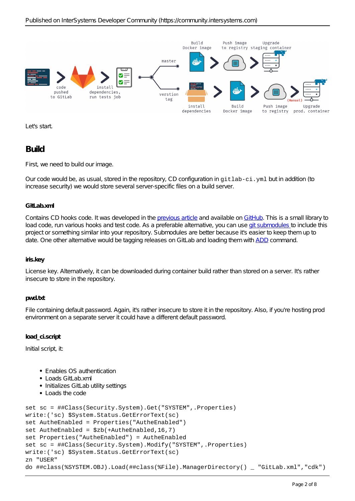

Let's start.

## **Build**

First, we need to build our image.

Our code would be, as usual, stored in the repository, CD configuration in gitlab-ci.yml but in addition (to increase security) we would store several server-specific files on a build server.

#### **GitLab.xml**

Contains CD hooks code. It was developed in the [previous article](https://community.intersystems.com/post/continuous-delivery-your-intersystems-solution-using-gitlab-part-iv-cd-configuration) and available on [GitHub](https://github.com/intersystems-ru/GitLab/releases). This is a small library to load code, run various hooks and test code. As a preferable alternative, you can use [git submodules t](https://git-scm.com/book/en/v2/Git-Tools-Submodules)o include this project or something similar into your repository. Submodules are better because it's easier to keep them up to date. One other alternative would be tagging releases on GitLab and loading them with [ADD](https://docs.docker.com/engine/reference/builder/#add) command.

#### **iris.key**

License key. Alternatively, it can be downloaded during container build rather than stored on a server. It's rather insecure to store in the repository.

#### **pwd.txt**

File containing default password. Again, it's rather insecure to store it in the repository. Also, if you're hosting prod environment on a separate server it could have a different default password.

### **load\_ci.script**

Initial script, it:

- Enables OS authentication
- $\bullet$  Loads GitLab.xml
- Initializes GitLab utility settings
- Loads the code

```
set sc = ##Class(Security.System).Get("SYSTEM",.Properties)
write:('sc) $System.Status.GetErrorText(sc)
set AutheEnabled = Properties("AutheEnabled")
set AutheEnabled = $zb(+AuthorEnabled,16,7)set Properties("AutheEnabled") = AutheEnabled
set sc = ##Class(Security.System).Modify("SYSTEM",.Properties)
write:('sc) $System.Status.GetErrorText(sc)
zn "USER"
do ##class(%SYSTEM.OBJ).Load(##class(%File).ManagerDirectory() _ "GitLab.xml","cdk")
```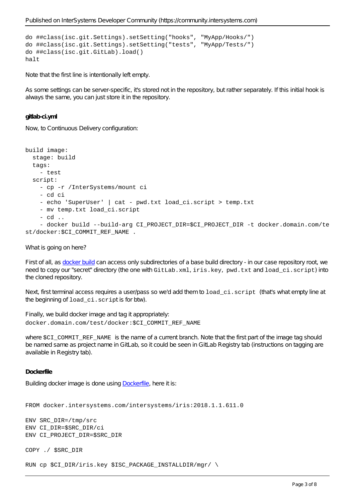```
do ##class(isc.git.Settings).setSetting("hooks", "MyApp/Hooks/")
do ##class(isc.git.Settings).setSetting("tests", "MyApp/Tests/")
do ##class(isc.git.GitLab).load()
halt
```
Note that the first line is intentionally left empty.

As some settings can be server-specific, it's stored not in the repository, but rather separately. If this initial hook is always the same, you can just store it in the repository.

#### **gitlab-ci.yml**

Now, to Continuous Delivery configuration:

```
build image:
   stage: build
   tags:
     - test
   script:
     - cp -r /InterSystems/mount ci
     - cd ci
    - echo 'SuperUser' | cat - pwd.txt load_ci.script > temp.txt
     - mv temp.txt load_ci.script
     - cd ..
     - docker build --build-arg CI_PROJECT_DIR=$CI_PROJECT_DIR -t docker.domain.com/te
st/docker:$CI_COMMIT_REF_NAME .
```
What is going on here?

First of all, as [docker build](https://docs.docker.com/engine/reference/commandline/build/) can access only subdirectories of a base build directory - in our case repository root, we need to copy our "secret" directory (the one with GitLab.xml, iris.key, pwd.txt and load\_ci.script) into the cloned repository.

Next, first terminal access requires a user/pass so we'd add them to load\_ci.script (that's what empty line at the beginning of load\_ci.script is for btw).

Finally, we build docker image and tag it appropriately: docker.domain.com/test/docker:\$CI\_COMMIT\_REF\_NAME

where SCI\_COMMIT\_REF\_NAME is the name of a current branch. Note that the first part of the image tag should be named same as project name in GitLab, so it could be seen in GitLab Registry tab (instructions on tagging are available in Registry tab).

#### **Dockerfile**

Building docker image is done using [Dockerfile,](https://docs.docker.com/engine/reference/builder/) here it is:

#### FROM docker.intersystems.com/intersystems/iris:2018.1.1.611.0

```
ENV SRC_DIR=/tmp/src
ENV CI_DIR=$SRC_DIR/ci
ENV CI_PROJECT_DIR=$SRC_DIR
```

```
COPY ./ $SRC_DIR
```
RUN cp \$CI\_DIR/iris.key \$ISC\_PACKAGE\_INSTALLDIR/mgr/ \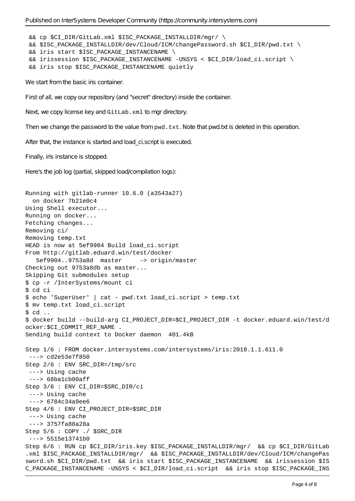```
 && cp $CI_DIR/GitLab.xml $ISC_PACKAGE_INSTALLDIR/mgr/ \
  && $ISC_PACKAGE_INSTALLDIR/dev/Cloud/ICM/changePassword.sh $CI_DIR/pwd.txt \
  && iris start $ISC_PACKAGE_INSTANCENAME \
  && irissession $ISC_PACKAGE_INSTANCENAME -U%SYS < $CI_DIR/load_ci.script \
  && iris stop $ISC_PACKAGE_INSTANCENAME quietly
We start from the basic iris container.
First of all, we copy our repository (and "secret" directory) inside the container.
Next, we copy license key and GitLab. xml to mgr directory.
Then we change the password to the value from \mathbf{pwd}. \mathbf{txt}. \mathbf{w} Mote that pwd. txt is deleted in this operation.
After that, the instance is started and load_ci.script is executed.
Finally, iris instance is stopped.
Here's the job log (partial, skipped load/compilation logs):
Running with gitlab-runner 10.6.0 (a3543a27)
   on docker 7b21e0c4
Using Shell executor...
Running on docker...
Fetching changes...
Removing ci/
Removing temp.txt
HEAD is now at 5ef9904 Build load_ci.script
From http://gitlab.eduard.win/test/docker
    5ef9904..9753a8d master -> origin/master
Checking out 9753a8db as master...
Skipping Git submodules setup
$ cp -r /InterSystems/mount ci
$ cd ci
$ echo 'SuperUser' | cat - pwd.txt load_ci.script > temp.txt
$ mv temp.txt load_ci.script
$ cd ..
$ docker build --build-arg CI_PROJECT_DIR=$CI_PROJECT_DIR -t docker.eduard.win/test/d
ocker:$CI_COMMIT_REF_NAME .
Sending build context to Docker daemon 401.4kB
Step 1/6 : FROM docker.intersystems.com/intersystems/iris:2018.1.1.611.0
  ---> cd2e53e7f850
Step 2/6 : ENV SRC_DIR=/tmp/src
  ---> Using cache
  ---> 68ba1cb00aff
Step 3/6 : ENV CI DIR=$SRC DIR/ci
  ---> Using cache
  ---> 6784c34a9ee6
Step 4/6 : ENV CI PROJECT DIR=$SRC DIR
  ---> Using cache
  ---> 3757fa88a28a
Step 5/6 : COPY ./ $SRC DIR
  ---> 5515e13741b0
Step 6/6 : RUN cp $CI_DIR/iris.key $ISC_PACKAGE_INSTALLDIR/mgr/ && cp $CI_DIR/GitLab
.xml $ISC_PACKAGE_INSTALLDIR/mgr/ && $ISC_PACKAGE_INSTALLDIR/dev/Cloud/ICM/changePas
sword.sh $CI_DIR/pwd.txt && iris start $ISC_PACKAGE_INSTANCENAME && irissession $IS
C_PACKAGE_INSTANCENAME -U%SYS < $CI_DIR/load_ci.script && iris stop $ISC_PACKAGE_INS
```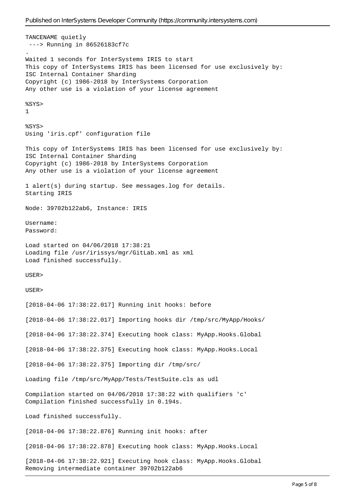TANCENAME quietly ---> Running in 86526183cf7c . Waited 1 seconds for InterSystems IRIS to start This copy of InterSystems IRIS has been licensed for use exclusively by: ISC Internal Container Sharding Copyright (c) 1986-2018 by InterSystems Corporation Any other use is a violation of your license agreement %SYS> 1 %SYS> Using 'iris.cpf' configuration file This copy of InterSystems IRIS has been licensed for use exclusively by: ISC Internal Container Sharding Copyright (c) 1986-2018 by InterSystems Corporation Any other use is a violation of your license agreement 1 alert(s) during startup. See messages.log for details. Starting IRIS Node: 39702b122ab6, Instance: IRIS Username: Password: Load started on 04/06/2018 17:38:21 Loading file /usr/irissys/mgr/GitLab.xml as xml Load finished successfully. USER> USER> [2018-04-06 17:38:22.017] Running init hooks: before [2018-04-06 17:38:22.017] Importing hooks dir /tmp/src/MyApp/Hooks/ [2018-04-06 17:38:22.374] Executing hook class: MyApp.Hooks.Global [2018-04-06 17:38:22.375] Executing hook class: MyApp.Hooks.Local [2018-04-06 17:38:22.375] Importing dir /tmp/src/ Loading file /tmp/src/MyApp/Tests/TestSuite.cls as udl Compilation started on 04/06/2018 17:38:22 with qualifiers 'c' Compilation finished successfully in 0.194s. Load finished successfully. [2018-04-06 17:38:22.876] Running init hooks: after [2018-04-06 17:38:22.878] Executing hook class: MyApp.Hooks.Local [2018-04-06 17:38:22.921] Executing hook class: MyApp.Hooks.Global Removing intermediate container 39702b122ab6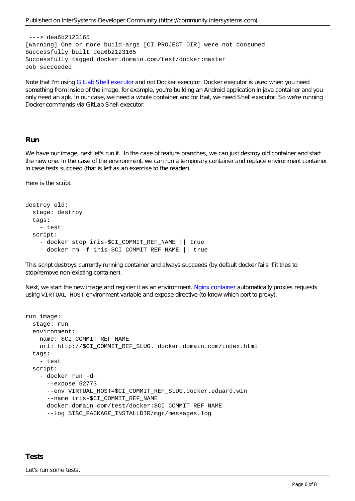```
 ---> dea6b2123165
[Warning] One or more build-args [CI_PROJECT_DIR] were not consumed
Successfully built dea6b2123165
Successfully tagged docker.domain.com/test/docker:master
Job succeeded
```
Note that I'm using [GitLab Shell executor a](https://docs.gitlab.com/runner/executors/)nd not Docker executor. Docker executor is used when you need something from inside of the image, for example, you're building an Android application in java container and you only need an apk. In our case, we need a whole container and for that, we need Shell executor. So we're running Docker commands via GitLab Shell executor.

### **Run**

We have our image, next let's run it. In the case of feature branches, we can just destroy old container and start the new one. In the case of the environment, we can run a temporary container and replace environment container in case tests succeed (that is left as an exercise to the reader).

Here is the script.

```
destroy old:
   stage: destroy
   tags:
     - test
   script:
     - docker stop iris-$CI_COMMIT_REF_NAME || true
     - docker rm -f iris-$CI_COMMIT_REF_NAME || true
```
This script destroys currently running container and always succeeds (by default docker fails if it tries to stop/remove non-existing container).

Next, we start the new image and register it as an environment. [Nginx container](https://cloud.google.com/community/tutorials/nginx-reverse-proxy-docker) automatically proxies requests using VIRTUAL\_HOST environment variable and expose directive (to know which port to proxy).

```
run image:
   stage: run
   environment:
    name: $CI_COMMIT_REF_NAME
     url: http://$CI_COMMIT_REF_SLUG. docker.domain.com/index.html
  tags:
     - test
   script:
     - docker run -d
       --expose 52773
       --env VIRTUAL_HOST=$CI_COMMIT_REF_SLUG.docker.eduard.win
      --name iris-$CI COMMIT REF NAME
       docker.domain.com/test/docker:$CI_COMMIT_REF_NAME
       --log $ISC_PACKAGE_INSTALLDIR/mgr/messages.log
```
### **Tests**

Let's run some tests.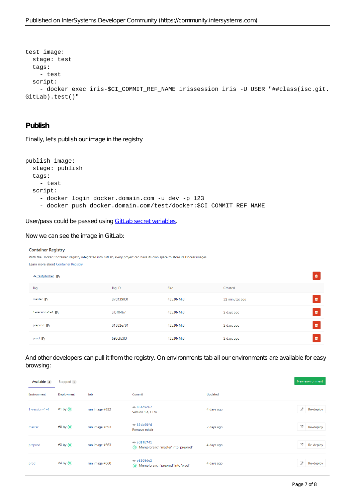```
test image:
   stage: test
   tags:
     - test
   script:
    - docker exec iris-$CI COMMIT REF NAME irissession iris -U USER "##class(isc.git.
GitLab).test()"
```
### **Publish**

Finally, let's publish our image in the registry

```
publish image:
   stage: publish
   tags:
     - test
   script:
     - docker login docker.domain.com -u dev -p 123
     - docker push docker.domain.com/test/docker:$CI_COMMIT_REF_NAME
```
User/pass could be passed using [GitLab secret variables.](https://docs.gitlab.com/ee/ci/variables/#secret-variables)

Now we can see the image in GitLab:

#### **Container Registry**

With the Docker Container Registry integrated into GitLab, every project can have its own space to store its Docker images. Learn more about Container Registry.

| <u>A test/docker</u>   |           |            |                | û |
|------------------------|-----------|------------|----------------|---|
| Tag                    | Tag ID    | Size       | Created        |   |
| master <b>The</b>      | d7d13903f | 435.96 MiB | 32 minutes ago | û |
| 1-version-1-4          | afb1ff4b7 | 435.96 MiB | 2 days ago     | û |
| preprod $\blacksquare$ | 01882e781 | 435.96 MiB | 2 days ago     | û |
| prod <b>T</b>          | 693c8c3f3 | 435.96 MiB | 2 days ago     | û |

And other developers can pull it from the registry. On environments tab all our environments are available for easy browsing:

| Available 4   | Stopped 0  |                |                                                       |            | New environment |
|---------------|------------|----------------|-------------------------------------------------------|------------|-----------------|
| Environment   | Deployment | Job            | Commit                                                | Updated    |                 |
| 1-version-1-4 | #1 by \$   | run image #652 | -o-85ed9c67<br>Version 1.4, Cl fix                    | 4 days ago | Ø<br>Re-deploy  |
| master        | #8 by \$   | run image #693 | $-$ 85da69fd<br>Remove mkdir                          | 2 days ago | Ø<br>Re-deploy  |
| preprod       | #3 by \$   | run image #663 | $ -$ ed8fb741<br>Merge branch 'master' into 'preprod' | 4 days ago | Ø<br>Re-deploy  |
| prod          | #4 by \$   | run image #668 | -o-e3260de2<br>Herge branch 'preprod' into 'prod'     | 4 days ago | ø<br>Re-deploy  |